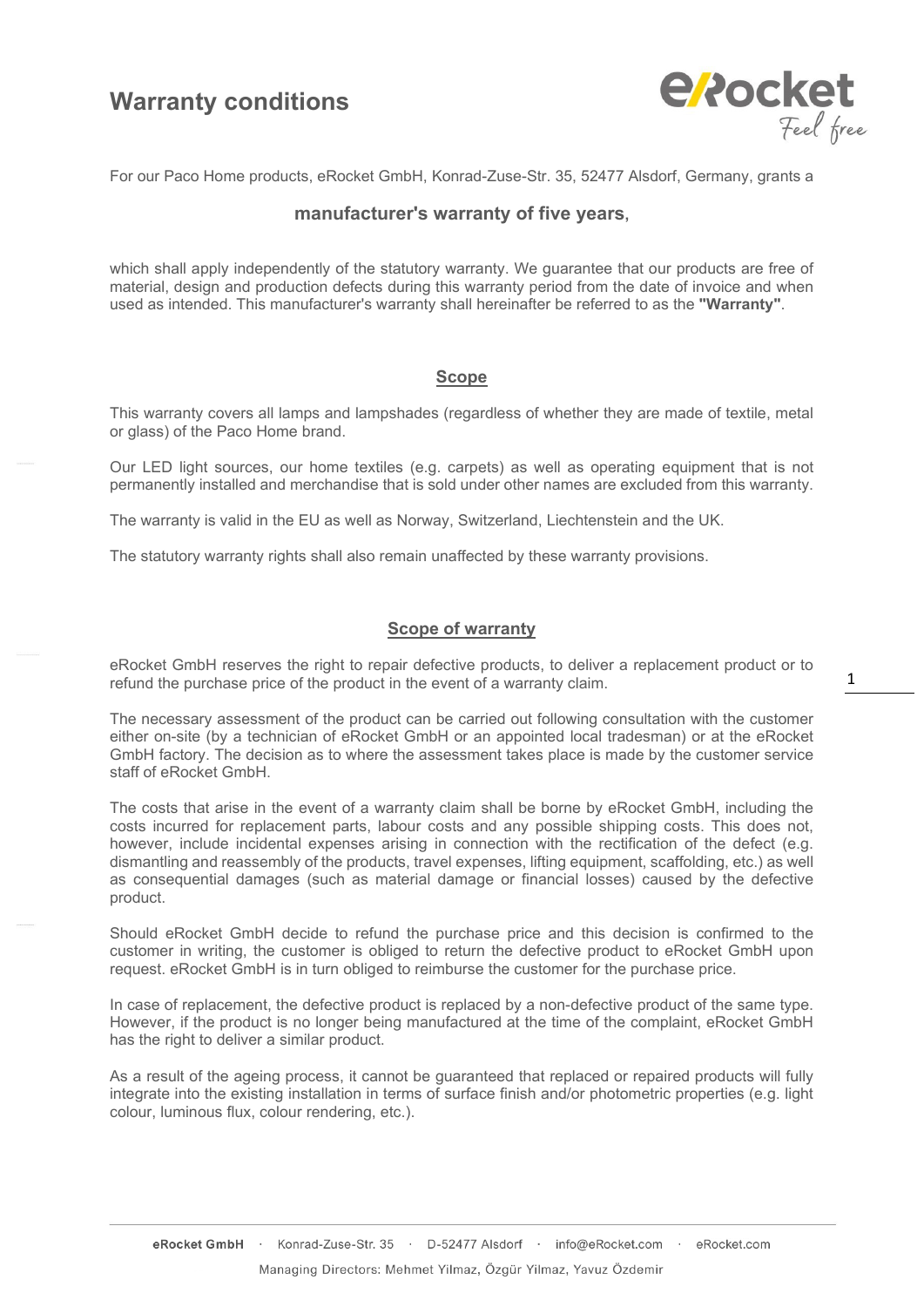## **Warranty conditions**



For our Paco Home products, eRocket GmbH, Konrad-Zuse-Str. 35, 52477 Alsdorf, Germany, grants a

### **manufacturer's warranty of five years,**

which shall apply independently of the statutory warranty. We guarantee that our products are free of material, design and production defects during this warranty period from the date of invoice and when used as intended. This manufacturer's warranty shall hereinafter be referred to as the **"Warranty"**.

## **Scope**

This warranty covers all lamps and lampshades (regardless of whether they are made of textile, metal or glass) of the Paco Home brand.

Our LED light sources, our home textiles (e.g. carpets) as well as operating equipment that is not permanently installed and merchandise that is sold under other names are excluded from this warranty.

The warranty is valid in the EU as well as Norway, Switzerland, Liechtenstein and the UK.

The statutory warranty rights shall also remain unaffected by these warranty provisions.

### **Scope of warranty**

eRocket GmbH reserves the right to repair defective products, to deliver a replacement product or to refund the purchase price of the product in the event of a warranty claim.

The necessary assessment of the product can be carried out following consultation with the customer either on-site (by a technician of eRocket GmbH or an appointed local tradesman) or at the eRocket GmbH factory. The decision as to where the assessment takes place is made by the customer service staff of eRocket GmbH.

The costs that arise in the event of a warranty claim shall be borne by eRocket GmbH, including the costs incurred for replacement parts, labour costs and any possible shipping costs. This does not, however, include incidental expenses arising in connection with the rectification of the defect (e.g. dismantling and reassembly of the products, travel expenses, lifting equipment, scaffolding, etc.) as well as consequential damages (such as material damage or financial losses) caused by the defective product.

Should eRocket GmbH decide to refund the purchase price and this decision is confirmed to the customer in writing, the customer is obliged to return the defective product to eRocket GmbH upon request. eRocket GmbH is in turn obliged to reimburse the customer for the purchase price.

In case of replacement, the defective product is replaced by a non-defective product of the same type. However, if the product is no longer being manufactured at the time of the complaint, eRocket GmbH has the right to deliver a similar product.

As a result of the ageing process, it cannot be guaranteed that replaced or repaired products will fully integrate into the existing installation in terms of surface finish and/or photometric properties (e.g. light colour, luminous flux, colour rendering, etc.).

1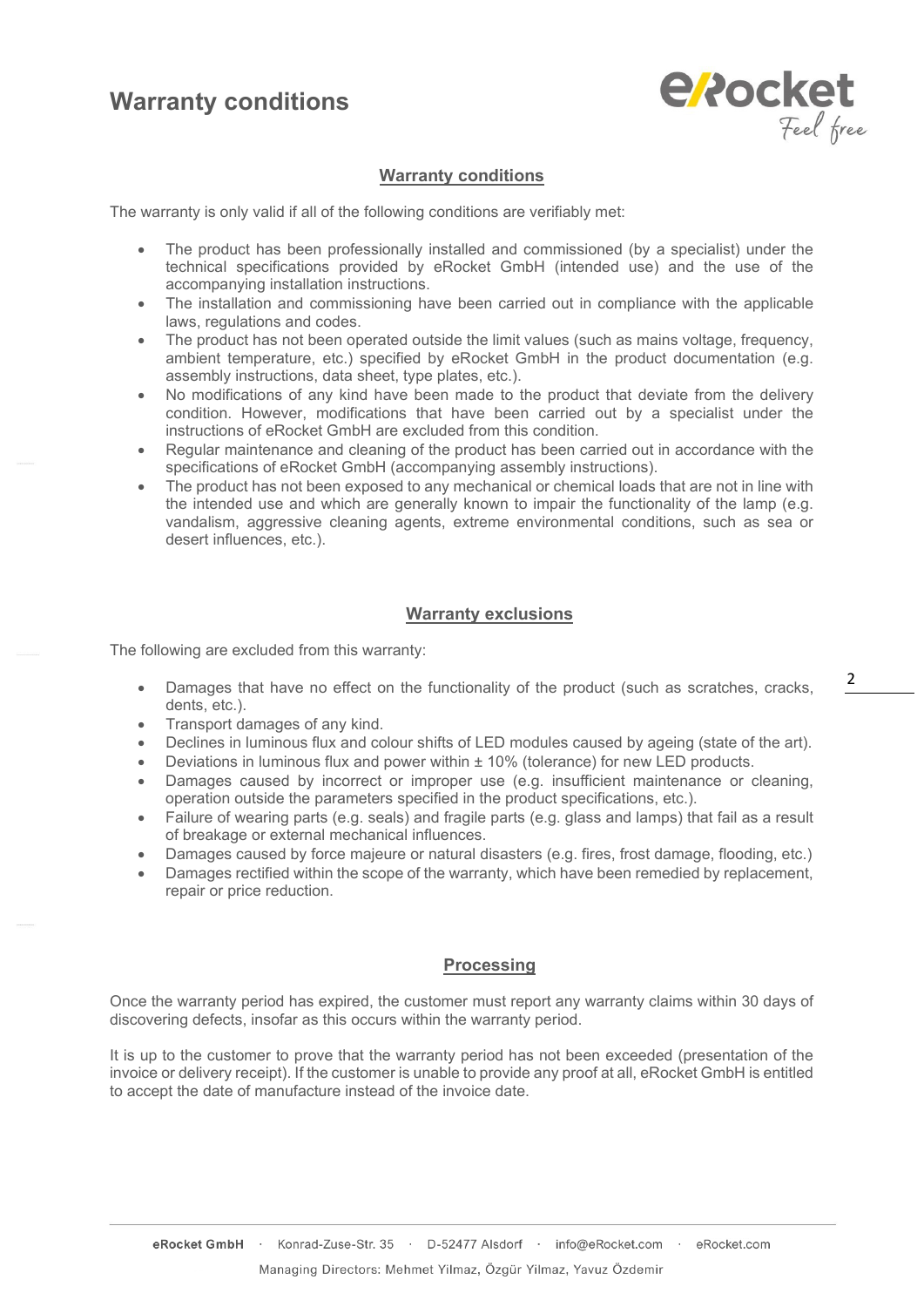## **Warranty conditions**



## **Warranty conditions**

The warranty is only valid if all of the following conditions are verifiably met:

- The product has been professionally installed and commissioned (by a specialist) under the technical specifications provided by eRocket GmbH (intended use) and the use of the accompanying installation instructions.
- The installation and commissioning have been carried out in compliance with the applicable laws, regulations and codes.
- The product has not been operated outside the limit values (such as mains voltage, frequency, ambient temperature, etc.) specified by eRocket GmbH in the product documentation (e.g. assembly instructions, data sheet, type plates, etc.).
- No modifications of any kind have been made to the product that deviate from the delivery condition. However, modifications that have been carried out by a specialist under the instructions of eRocket GmbH are excluded from this condition.
- Regular maintenance and cleaning of the product has been carried out in accordance with the specifications of eRocket GmbH (accompanying assembly instructions).
- The product has not been exposed to any mechanical or chemical loads that are not in line with the intended use and which are generally known to impair the functionality of the lamp (e.g. vandalism, aggressive cleaning agents, extreme environmental conditions, such as sea or desert influences, etc.).

### **Warranty exclusions**

The following are excluded from this warranty:

- Damages that have no effect on the functionality of the product (such as scratches, cracks, dents, etc.).
- Transport damages of any kind.
- Declines in luminous flux and colour shifts of LED modules caused by ageing (state of the art).
- Deviations in luminous flux and power within ± 10% (tolerance) for new LED products.
- Damages caused by incorrect or improper use (e.g. insufficient maintenance or cleaning, operation outside the parameters specified in the product specifications, etc.).
- Failure of wearing parts (e.g. seals) and fragile parts (e.g. glass and lamps) that fail as a result of breakage or external mechanical influences.
- Damages caused by force majeure or natural disasters (e.g. fires, frost damage, flooding, etc.)
- Damages rectified within the scope of the warranty, which have been remedied by replacement, repair or price reduction.

#### **Processing**

Once the warranty period has expired, the customer must report any warranty claims within 30 days of discovering defects, insofar as this occurs within the warranty period.

It is up to the customer to prove that the warranty period has not been exceeded (presentation of the invoice or delivery receipt). If the customer is unable to provide any proof at all, eRocket GmbH is entitled to accept the date of manufacture instead of the invoice date.